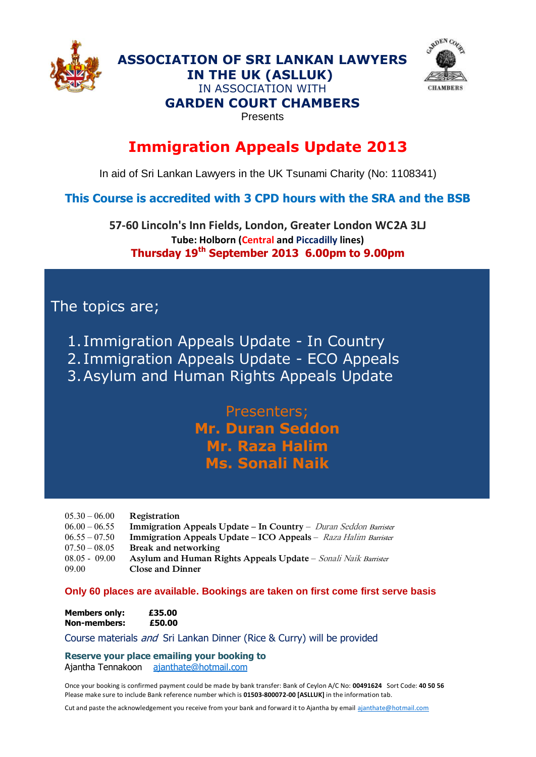

**ADEN** CO **CHAMBERS** 

#### IN ASSOCIATION WITH **GARDEN COURT CHAMBERS**

**ASSOCIATION OF SRI LANKAN LAWYERS IN THE UK (ASLLUK)**

Presents

## **Immigration Appeals Update 2013**

In aid of Sri Lankan Lawyers in the UK Tsunami Charity (No: 1108341)

### **This Course is accredited with 3 CPD hours with the SRA and the BSB**

**57-60 Lincoln's Inn Fields, London, Greater London WC2A 3LJ Tube: Holborn (Central and Piccadilly lines) Thursday 19 th September 2013 6.00pm to 9.00pm**

## The topics are;

- 1. Immigration Appeals Update In Country
- 2. Immigration Appeals Update ECO Appeals
- 3.Asylum and Human Rights Appeals Update

## Presenters; **Mr. Duran Seddon Mr. Raza Halim Ms. Sonali Naik**

| $05.30 - 06.00$ | Registration                                                                 |
|-----------------|------------------------------------------------------------------------------|
| $06.00 - 06.55$ | Immigration Appeals Update - In Country - Duran Seddon Barrister             |
| $06.55 - 07.50$ | Immigration Appeals Update - ICO Appeals - Raza Halim Barrister              |
| $07.50 - 08.05$ | Break and networking                                                         |
| $08.05 - 09.00$ | <b>Asylum and Human Rights Appeals Update</b> – <i>Sonali Naik Barrister</i> |
| 09.00           | <b>Close and Dinner</b>                                                      |

**Only 60 places are available. Bookings are taken on first come first serve basis**

| <b>Members only:</b> | £35.00 |
|----------------------|--------|
| <b>Non-members:</b>  | £50.00 |

Course materials and Sri Lankan Dinner (Rice & Curry) will be provided

**Reserve your place emailing your booking to** Ajantha Tennakoon [ajanthate@hotmail.com](mailto:ajanthate@hotmail.com)

Once your booking is confirmed payment could be made by bank transfer: Bank of Ceylon A/C No: **00491624** Sort Code: **40 50 56** Please make sure to include Bank reference number which is **01503-800072-00 [ASLLUK]** in the information tab.

Cut and paste the acknowledgement you receive from your bank and forward it to Ajantha by emai[l ajanthate@hotmail.com](mailto:ajanthate@hotmail.com)